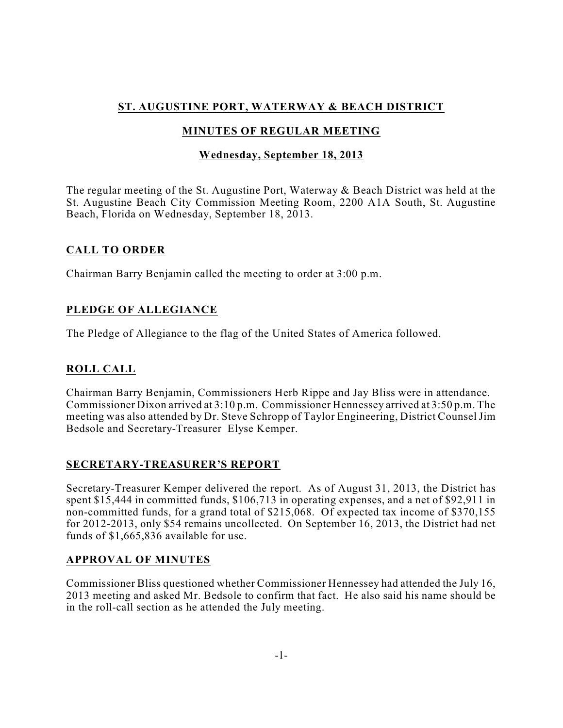# **ST. AUGUSTINE PORT, WATERWAY & BEACH DISTRICT**

# **MINUTES OF REGULAR MEETING**

### **Wednesday, September 18, 2013**

The regular meeting of the St. Augustine Port, Waterway & Beach District was held at the St. Augustine Beach City Commission Meeting Room, 2200 A1A South, St. Augustine Beach, Florida on Wednesday, September 18, 2013.

### **CALL TO ORDER**

Chairman Barry Benjamin called the meeting to order at 3:00 p.m.

### **PLEDGE OF ALLEGIANCE**

The Pledge of Allegiance to the flag of the United States of America followed.

# **ROLL CALL**

Chairman Barry Benjamin, Commissioners Herb Rippe and Jay Bliss were in attendance. Commissioner Dixon arrived at 3:10 p.m. Commissioner Hennessey arrived at 3:50 p.m. The meeting was also attended by Dr. Steve Schropp of Taylor Engineering, District Counsel Jim Bedsole and Secretary-Treasurer Elyse Kemper.

### **SECRETARY-TREASURER'S REPORT**

Secretary-Treasurer Kemper delivered the report. As of August 31, 2013, the District has spent \$15,444 in committed funds, \$106,713 in operating expenses, and a net of \$92,911 in non-committed funds, for a grand total of \$215,068. Of expected tax income of \$370,155 for 2012-2013, only \$54 remains uncollected. On September 16, 2013, the District had net funds of \$1,665,836 available for use.

### **APPROVAL OF MINUTES**

Commissioner Bliss questioned whether Commissioner Hennessey had attended the July 16, 2013 meeting and asked Mr. Bedsole to confirm that fact. He also said his name should be in the roll-call section as he attended the July meeting.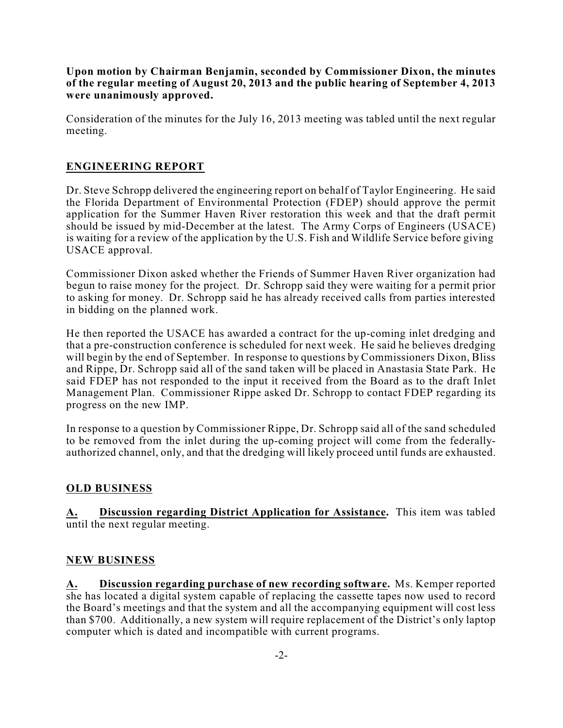**Upon motion by Chairman Benjamin, seconded by Commissioner Dixon, the minutes of the regular meeting of August 20, 2013 and the public hearing of September 4, 2013 were unanimously approved.**

Consideration of the minutes for the July 16, 2013 meeting was tabled until the next regular meeting.

### **ENGINEERING REPORT**

Dr. Steve Schropp delivered the engineering report on behalf of Taylor Engineering. He said the Florida Department of Environmental Protection (FDEP) should approve the permit application for the Summer Haven River restoration this week and that the draft permit should be issued by mid-December at the latest. The Army Corps of Engineers (USACE) is waiting for a review of the application by the U.S. Fish and Wildlife Service before giving USACE approval.

Commissioner Dixon asked whether the Friends of Summer Haven River organization had begun to raise money for the project. Dr. Schropp said they were waiting for a permit prior to asking for money. Dr. Schropp said he has already received calls from parties interested in bidding on the planned work.

He then reported the USACE has awarded a contract for the up-coming inlet dredging and that a pre-construction conference is scheduled for next week. He said he believes dredging will begin by the end of September. In response to questions by Commissioners Dixon, Bliss and Rippe, Dr. Schropp said all of the sand taken will be placed in Anastasia State Park. He said FDEP has not responded to the input it received from the Board as to the draft Inlet Management Plan. Commissioner Rippe asked Dr. Schropp to contact FDEP regarding its progress on the new IMP.

In response to a question by Commissioner Rippe, Dr. Schropp said all of the sand scheduled to be removed from the inlet during the up-coming project will come from the federallyauthorized channel, only, and that the dredging will likely proceed until funds are exhausted.

### **OLD BUSINESS**

**A. Discussion regarding District Application for Assistance.** This item was tabled until the next regular meeting.

#### **NEW BUSINESS**

**A. Discussion regarding purchase of new recording software.** Ms. Kemper reported she has located a digital system capable of replacing the cassette tapes now used to record the Board's meetings and that the system and all the accompanying equipment will cost less than \$700. Additionally, a new system will require replacement of the District's only laptop computer which is dated and incompatible with current programs.